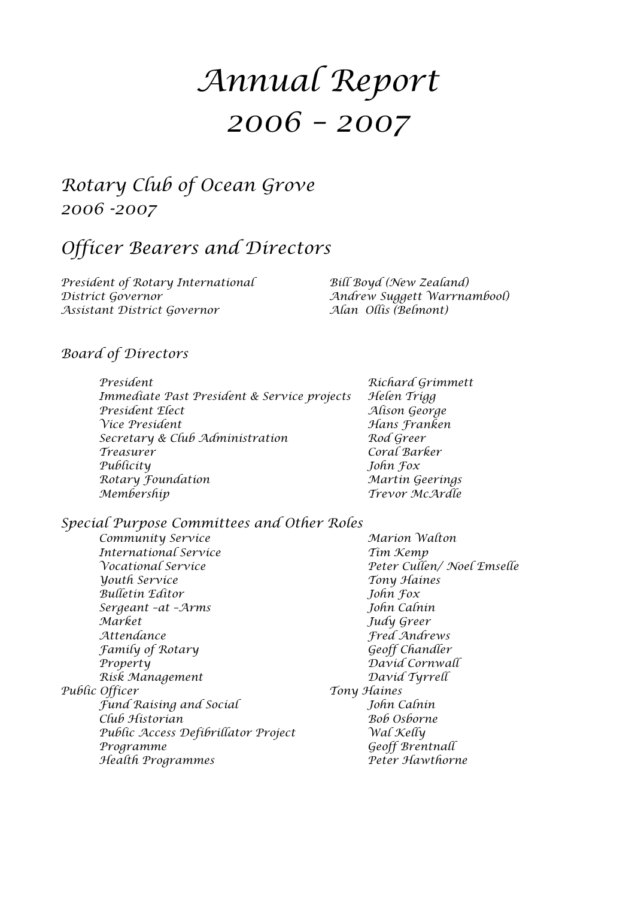# *Annual Report 2006 – 2007*

# *Rotary Club of Ocean Grove 2006 -2007*

# *Officer Bearers and Directors*

*President of Rotary International Bill Boyd (New Zealand) District Governor Andrew Suggett Warrnambool) Assistant District Governor Alan Ollis (Belmont)*

### *Board of Directors*

| Richard Grimme  |
|-----------------|
| Helen Trigg     |
| Alison George   |
| Hans Franken    |
| Rod Greer       |
| Coral Barker    |
| John Fox        |
| Martin Geerings |
| Trevor McArdle  |
|                 |

*President Richard Grimmett Immediate Past President & Service projects Helen Trigg President Elect Alison George Vice President Hans Franken Secretary & Club Administration Rod Greer Treasurer Coral Barker Publicity John Fox Rotary Foundation Martin Geerings*

### *Special Purpose Committees and Other Roles*

*Community Service Marion Walton International Service Tim Kemp Vocational Service Peter Cullen/ Noel Emselle Youth Service Tony Haines Bulletin Editor John Fox Sergeant –at –Arms John Calnin Market Judy Greer Attendance Fred Andrews Family of Rotary Geoff Chandler Property David Cornwall Risk Management David Tyrrell Public Officer Tony Haines Fund Raising and Social John Calnin Club Historian Bob Osborne Public Access Defibrillator Project Wal Kelly Programme Geoff Brentnall Health Programmes Peter Hawthorne*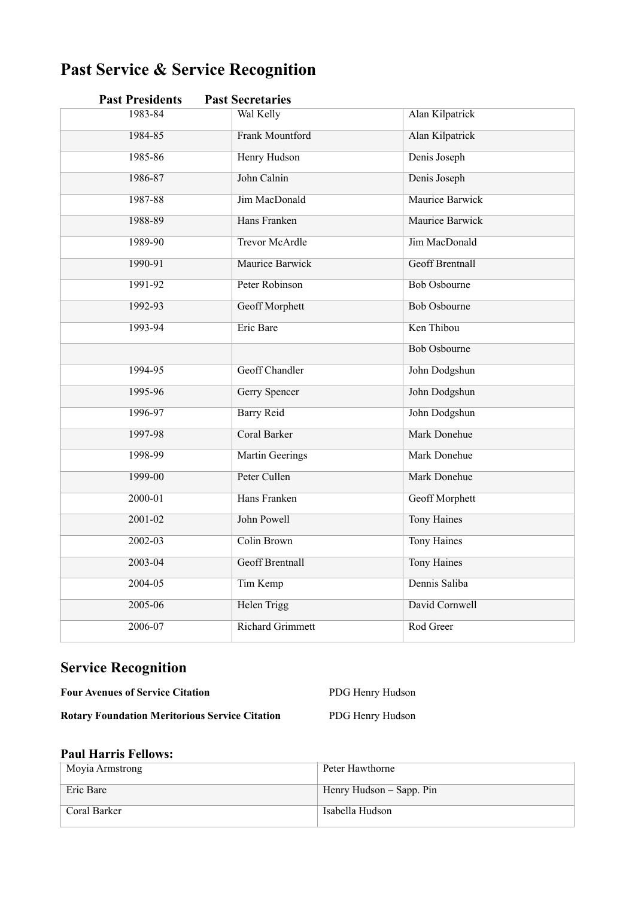# **Past Service & Service Recognition**

| 1983-84<br>Wal Kelly<br><b>Alan Kilpatrick</b><br>Frank Mountford<br>Alan Kilpatrick<br>1984-85<br><b>Henry Hudson</b><br>1985-86<br>Denis Joseph<br>John Calnin<br>1986-87<br>Denis Joseph<br><b>Jim MacDonald</b><br>Maurice Barwick<br>1987-88<br>Hans Franken<br>1988-89<br><b>Maurice Barwick</b><br><b>Trevor McArdle</b><br>Jim MacDonald<br>1989-90 | <b>Past Presidents</b> |  | <b>Past Secretaries</b> |  |
|-------------------------------------------------------------------------------------------------------------------------------------------------------------------------------------------------------------------------------------------------------------------------------------------------------------------------------------------------------------|------------------------|--|-------------------------|--|
|                                                                                                                                                                                                                                                                                                                                                             |                        |  |                         |  |
|                                                                                                                                                                                                                                                                                                                                                             |                        |  |                         |  |
|                                                                                                                                                                                                                                                                                                                                                             |                        |  |                         |  |
|                                                                                                                                                                                                                                                                                                                                                             |                        |  |                         |  |
|                                                                                                                                                                                                                                                                                                                                                             |                        |  |                         |  |
|                                                                                                                                                                                                                                                                                                                                                             |                        |  |                         |  |
|                                                                                                                                                                                                                                                                                                                                                             |                        |  |                         |  |
| Maurice Barwick<br><b>Geoff Brentnall</b><br>1990-91                                                                                                                                                                                                                                                                                                        |                        |  |                         |  |
| 1991-92<br>Peter Robinson<br><b>Bob Osbourne</b>                                                                                                                                                                                                                                                                                                            |                        |  |                         |  |
| 1992-93<br>Geoff Morphett<br><b>Bob Osbourne</b>                                                                                                                                                                                                                                                                                                            |                        |  |                         |  |
| Ken Thibou<br>1993-94<br>Eric Bare                                                                                                                                                                                                                                                                                                                          |                        |  |                         |  |
| <b>Bob Osbourne</b>                                                                                                                                                                                                                                                                                                                                         |                        |  |                         |  |
| Geoff Chandler<br>1994-95<br>John Dodgshun                                                                                                                                                                                                                                                                                                                  |                        |  |                         |  |
| 1995-96<br><b>Gerry Spencer</b><br>John Dodgshun                                                                                                                                                                                                                                                                                                            |                        |  |                         |  |
| 1996-97<br><b>Barry Reid</b><br>John Dodgshun                                                                                                                                                                                                                                                                                                               |                        |  |                         |  |
| Mark Donehue<br>1997-98<br>Coral Barker                                                                                                                                                                                                                                                                                                                     |                        |  |                         |  |
| 1998-99<br><b>Martin Geerings</b><br><b>Mark Donehue</b>                                                                                                                                                                                                                                                                                                    |                        |  |                         |  |
| 1999-00<br>Peter Cullen<br>Mark Donehue                                                                                                                                                                                                                                                                                                                     |                        |  |                         |  |
| Hans Franken<br>2000-01<br><b>Geoff Morphett</b>                                                                                                                                                                                                                                                                                                            |                        |  |                         |  |
| John Powell<br>$2001 - 02$<br><b>Tony Haines</b>                                                                                                                                                                                                                                                                                                            |                        |  |                         |  |
| Colin Brown<br><b>Tony Haines</b><br>2002-03                                                                                                                                                                                                                                                                                                                |                        |  |                         |  |
| <b>Geoff Brentnall</b><br><b>Tony Haines</b><br>2003-04                                                                                                                                                                                                                                                                                                     |                        |  |                         |  |
| Dennis Saliba<br>2004-05<br>Tim Kemp                                                                                                                                                                                                                                                                                                                        |                        |  |                         |  |
| <b>Helen Trigg</b><br>David Cornwell<br>2005-06                                                                                                                                                                                                                                                                                                             |                        |  |                         |  |
| <b>Richard Grimmett</b><br>2006-07<br>Rod Greer                                                                                                                                                                                                                                                                                                             |                        |  |                         |  |

# **Service Recognition**

**Four Avenues of Service Citation** PDG Henry Hudson

**Rotary Foundation Meritorious Service Citation** PDG Henry Hudson

### **Paul Harris Fellows:**

| Moyia Armstrong | Peter Hawthorne          |
|-----------------|--------------------------|
| Eric Bare       | Henry Hudson – Sapp. Pin |
| Coral Barker    | Isabella Hudson          |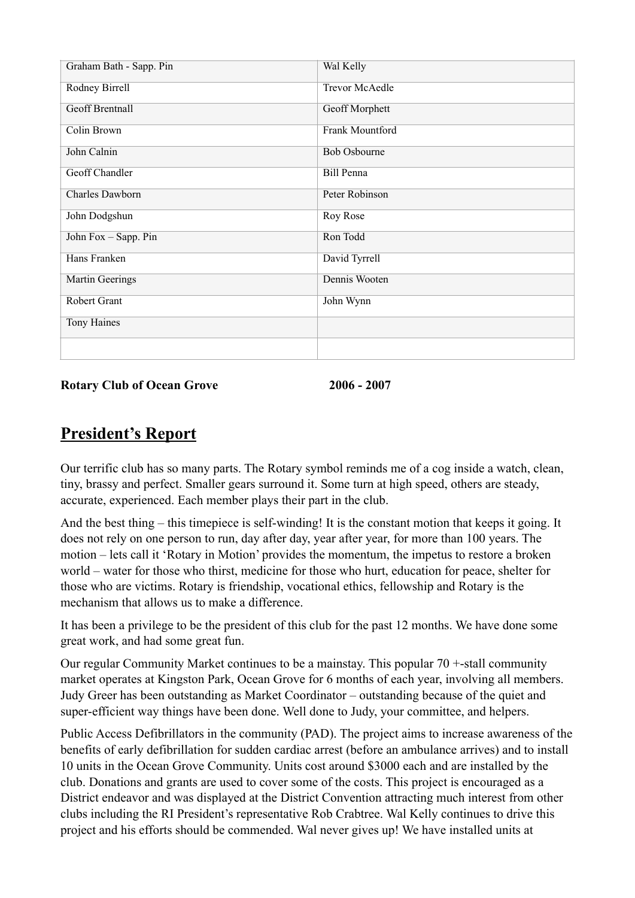| Graham Bath - Sapp. Pin | Wal Kelly             |
|-------------------------|-----------------------|
| Rodney Birrell          | <b>Trevor McAedle</b> |
| <b>Geoff Brentnall</b>  | Geoff Morphett        |
| Colin Brown             | Frank Mountford       |
| John Calnin             | <b>Bob Osbourne</b>   |
| <b>Geoff Chandler</b>   | Bill Penna            |
| <b>Charles Dawborn</b>  | Peter Robinson        |
| John Dodgshun           | Roy Rose              |
| John Fox - Sapp. Pin    | Ron Todd              |
| Hans Franken            | David Tyrrell         |
| Martin Geerings         | Dennis Wooten         |
| Robert Grant            | John Wynn             |
| Tony Haines             |                       |
|                         |                       |

**Rotary Club of Ocean Grove 2006 - 2007**

# **President's Report**

Our terrific club has so many parts. The Rotary symbol reminds me of a cog inside a watch, clean, tiny, brassy and perfect. Smaller gears surround it. Some turn at high speed, others are steady, accurate, experienced. Each member plays their part in the club.

And the best thing – this timepiece is self-winding! It is the constant motion that keeps it going. It does not rely on one person to run, day after day, year after year, for more than 100 years. The motion – lets call it 'Rotary in Motion' provides the momentum, the impetus to restore a broken world – water for those who thirst, medicine for those who hurt, education for peace, shelter for those who are victims. Rotary is friendship, vocational ethics, fellowship and Rotary is the mechanism that allows us to make a difference.

It has been a privilege to be the president of this club for the past 12 months. We have done some great work, and had some great fun.

Our regular Community Market continues to be a mainstay. This popular 70 +-stall community market operates at Kingston Park, Ocean Grove for 6 months of each year, involving all members. Judy Greer has been outstanding as Market Coordinator – outstanding because of the quiet and super-efficient way things have been done. Well done to Judy, your committee, and helpers.

Public Access Defibrillators in the community (PAD). The project aims to increase awareness of the benefits of early defibrillation for sudden cardiac arrest (before an ambulance arrives) and to install 10 units in the Ocean Grove Community. Units cost around \$3000 each and are installed by the club. Donations and grants are used to cover some of the costs. This project is encouraged as a District endeavor and was displayed at the District Convention attracting much interest from other clubs including the RI President's representative Rob Crabtree. Wal Kelly continues to drive this project and his efforts should be commended. Wal never gives up! We have installed units at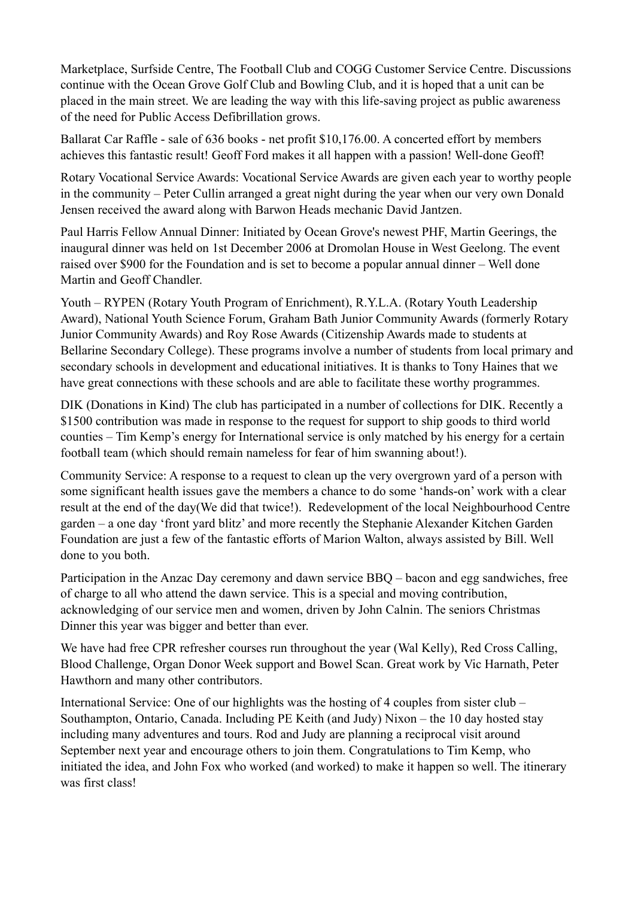Marketplace, Surfside Centre, The Football Club and COGG Customer Service Centre. Discussions continue with the Ocean Grove Golf Club and Bowling Club, and it is hoped that a unit can be placed in the main street. We are leading the way with this life-saving project as public awareness of the need for Public Access Defibrillation grows.

Ballarat Car Raffle - sale of 636 books - net profit \$10,176.00. A concerted effort by members achieves this fantastic result! Geoff Ford makes it all happen with a passion! Well-done Geoff!

Rotary Vocational Service Awards: Vocational Service Awards are given each year to worthy people in the community – Peter Cullin arranged a great night during the year when our very own Donald Jensen received the award along with Barwon Heads mechanic David Jantzen.

Paul Harris Fellow Annual Dinner: Initiated by Ocean Grove's newest PHF, Martin Geerings, the inaugural dinner was held on 1st December 2006 at Dromolan House in West Geelong. The event raised over \$900 for the Foundation and is set to become a popular annual dinner – Well done Martin and Geoff Chandler.

Youth – RYPEN (Rotary Youth Program of Enrichment), R.Y.L.A. (Rotary Youth Leadership Award), National Youth Science Forum, Graham Bath Junior Community Awards (formerly Rotary Junior Community Awards) and Roy Rose Awards (Citizenship Awards made to students at Bellarine Secondary College). These programs involve a number of students from local primary and secondary schools in development and educational initiatives. It is thanks to Tony Haines that we have great connections with these schools and are able to facilitate these worthy programmes.

DIK (Donations in Kind) The club has participated in a number of collections for DIK. Recently a \$1500 contribution was made in response to the request for support to ship goods to third world counties – Tim Kemp's energy for International service is only matched by his energy for a certain football team (which should remain nameless for fear of him swanning about!).

Community Service: A response to a request to clean up the very overgrown yard of a person with some significant health issues gave the members a chance to do some 'hands-on' work with a clear result at the end of the day(We did that twice!). Redevelopment of the local Neighbourhood Centre garden – a one day 'front yard blitz' and more recently the Stephanie Alexander Kitchen Garden Foundation are just a few of the fantastic efforts of Marion Walton, always assisted by Bill. Well done to you both.

Participation in the Anzac Day ceremony and dawn service BBQ – bacon and egg sandwiches, free of charge to all who attend the dawn service. This is a special and moving contribution, acknowledging of our service men and women, driven by John Calnin. The seniors Christmas Dinner this year was bigger and better than ever.

We have had free CPR refresher courses run throughout the year (Wal Kelly), Red Cross Calling, Blood Challenge, Organ Donor Week support and Bowel Scan. Great work by Vic Harnath, Peter Hawthorn and many other contributors.

International Service: One of our highlights was the hosting of 4 couples from sister club – Southampton, Ontario, Canada. Including PE Keith (and Judy) Nixon – the 10 day hosted stay including many adventures and tours. Rod and Judy are planning a reciprocal visit around September next year and encourage others to join them. Congratulations to Tim Kemp, who initiated the idea, and John Fox who worked (and worked) to make it happen so well. The itinerary was first class!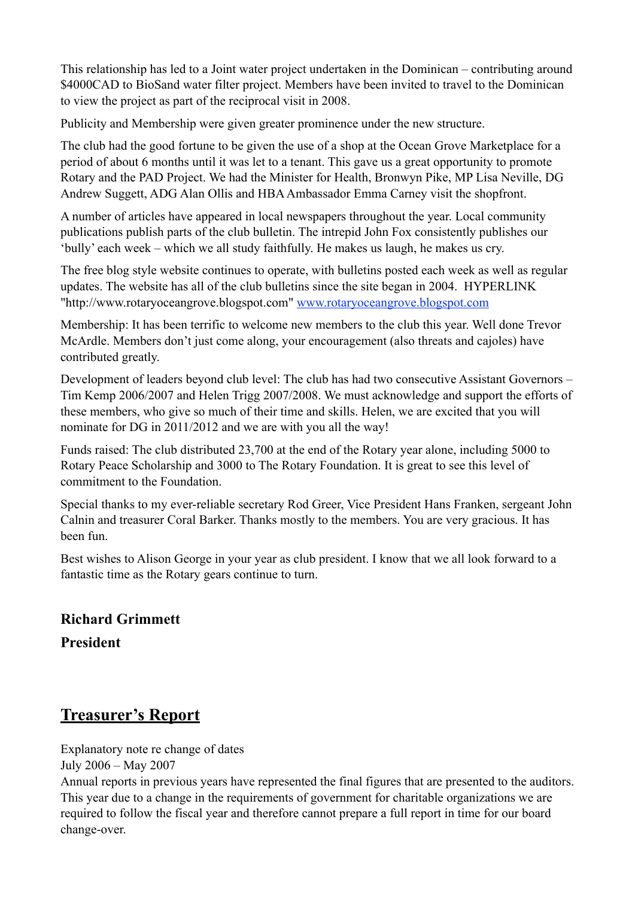This relationship has led to a Joint water project undertaken in the Dominican – contributing around \$4000CAD to BioSand water filter project. Members have been invited to travel to the Dominican to view the project as part of the reciprocal visit in 2008.

Publicity and Membership were given greater prominence under the new structure.

The club had the good fortune to be given the use of a shop at the Ocean Grove Marketplace for a period of about 6 months until it was let to a tenant. This gave us a great opportunity to promote Rotary and the PAD Project. We had the Minister for Health, Bronwyn Pike, MP Lisa Neville, DG Andrew Suggett, ADG Alan Ollis and HBA Ambassador Emma Carney visit the shopfront.

A number of articles have appeared in local newspapers throughout the year. Local community publications publish parts of the club bulletin. The intrepid John Fox consistently publishes our 'bully' each week – which we all study faithfully. He makes us laugh, he makes us cry.

The free blog style website continues to operate, with bulletins posted each week as well as regular updates. The website has all of the club bulletins since the site began in 2004. HYPERLINK "http://www.rotaryoceangrove.blogspot.com" www.rotaryoceangrove.blogspot.com

Membership: It has been terrific to welcome new members to the club this year. Well done Trevor McArdle. Members don't just come along, your encouragement (also threats and cajoles) have contributed greatly.

Development of leaders beyond club level: The club has had two consecutive Assistant Governors – Tim Kemp 2006/2007 and Helen Trigg 2007/2008. We must acknowledge and support the efforts of these members, who give so much of their time and skills. Helen, we are excited that you will nominate for DG in 2011/2012 and we are with you all the way!

Funds raised: The club distributed 23,700 at the end of the Rotary year alone, including 5000 to Rotary Peace Scholarship and 3000 to The Rotary Foundation. It is great to see this level of commitment to the Foundation.

Special thanks to my ever-reliable secretary Rod Greer, Vice President Hans Franken, sergeant John Calnin and treasurer Coral Barker. Thanks mostly to the members. You are very gracious. It has been fun.

Best wishes to Alison George in your year as club president. I know that we all look forward to a fantastic time as the Rotary gears continue to turn.

### **Richard Grimmett**

**President** 

# **Treasurer's Report**

Explanatory note re change of dates

July 2006 – May 2007

Annual reports in previous years have represented the final figures that are presented to the auditors. This year due to a change in the requirements of government for charitable organizations we are required to follow the fiscal year and therefore cannot prepare a full report in time for our board change-over.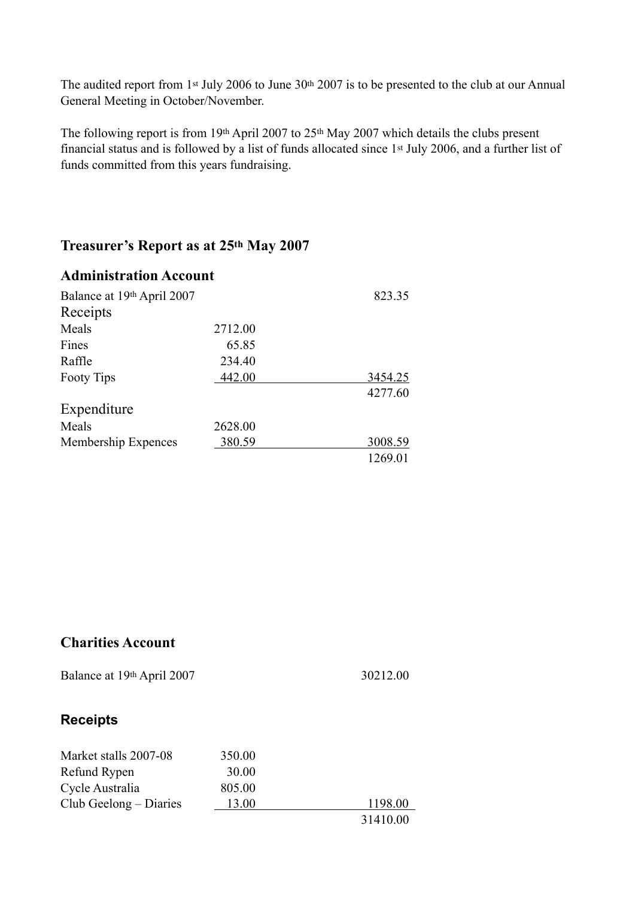The audited report from 1<sup>st</sup> July 2006 to June 30<sup>th</sup> 2007 is to be presented to the club at our Annual General Meeting in October/November.

The following report is from 19th April 2007 to 25th May 2007 which details the clubs present financial status and is followed by a list of funds allocated since 1st July 2006, and a further list of funds committed from this years fundraising.

### **Treasurer's Report as at 25th May 2007**

| <b>Administration Account</b> |         |         |
|-------------------------------|---------|---------|
| Balance at 19th April 2007    |         | 823.35  |
| Receipts                      |         |         |
| Meals                         | 2712.00 |         |
| Fines                         | 65.85   |         |
| Raffle                        | 234.40  |         |
| <b>Footy Tips</b>             | 442.00  | 3454.25 |
|                               |         | 4277.60 |
| Expenditure                   |         |         |
| Meals                         | 2628.00 |         |
| Membership Expences           | 380.59  | 3008.59 |
|                               |         | 1269.01 |

### **Charities Account**

Balance at 19th April 2007 30212.00

### **Receipts**

| Market stalls 2007-08  | 350.00 |          |
|------------------------|--------|----------|
| Refund Rypen           | 30.00  |          |
| Cycle Australia        | 805.00 |          |
| Club Geelong – Diaries | 13.00  | 1198.00  |
|                        |        | 31410.00 |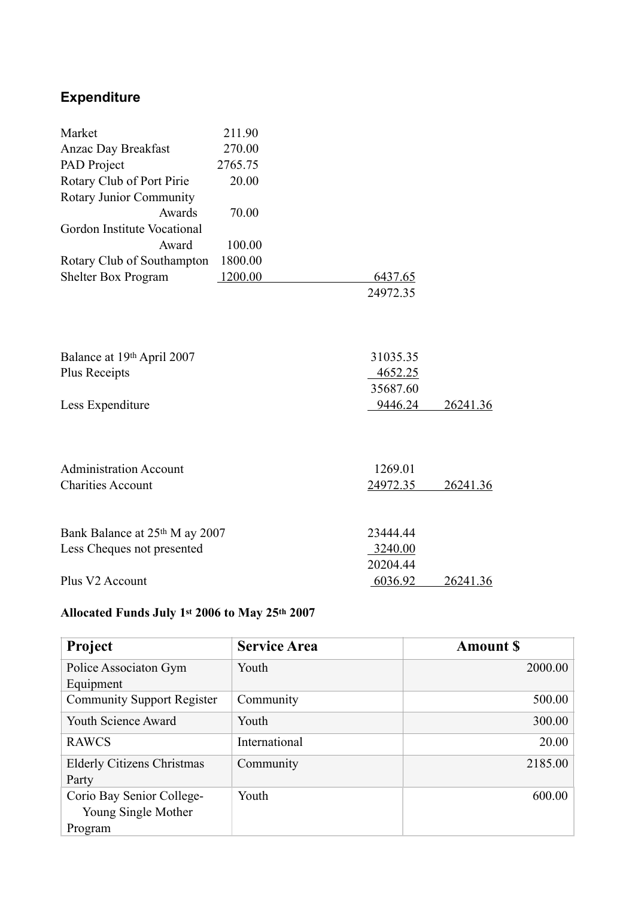# **Expenditure**

| Market                         | 211.90  |          |          |
|--------------------------------|---------|----------|----------|
| <b>Anzac Day Breakfast</b>     | 270.00  |          |          |
| PAD Project                    | 2765.75 |          |          |
| Rotary Club of Port Pirie      | 20.00   |          |          |
| Rotary Junior Community        |         |          |          |
| Awards                         | 70.00   |          |          |
| Gordon Institute Vocational    |         |          |          |
| Award                          | 100.00  |          |          |
| Rotary Club of Southampton     | 1800.00 |          |          |
| Shelter Box Program            | 1200.00 | 6437.65  |          |
|                                |         | 24972.35 |          |
|                                |         |          |          |
| Balance at 19th April 2007     |         | 31035.35 |          |
| <b>Plus Receipts</b>           |         | 4652.25  |          |
|                                |         | 35687.60 |          |
| Less Expenditure               |         | 9446.24  | 26241.36 |
|                                |         |          |          |
| <b>Administration Account</b>  |         | 1269.01  |          |
| <b>Charities Account</b>       |         | 24972.35 | 26241.36 |
|                                |         |          |          |
| Bank Balance at 25th M ay 2007 |         | 23444.44 |          |
| Less Cheques not presented     |         | 3240.00  |          |
|                                |         | 20204.44 |          |
| Plus V2 Account                |         | 6036.92  | 26241.36 |

#### **Allocated Funds July 1st 2006 to May 25th 2007**

| <b>Project</b>                                              | <b>Service Area</b> | <b>Amount S</b> |
|-------------------------------------------------------------|---------------------|-----------------|
| Police Associaton Gym<br>Equipment                          | Youth               | 2000.00         |
| <b>Community Support Register</b>                           | Community           | 500.00          |
| Youth Science Award                                         | Youth               | 300.00          |
| <b>RAWCS</b>                                                | International       | 20.00           |
| <b>Elderly Citizens Christmas</b><br>Party                  | Community           | 2185.00         |
| Corio Bay Senior College-<br>Young Single Mother<br>Program | Youth               | 600.00          |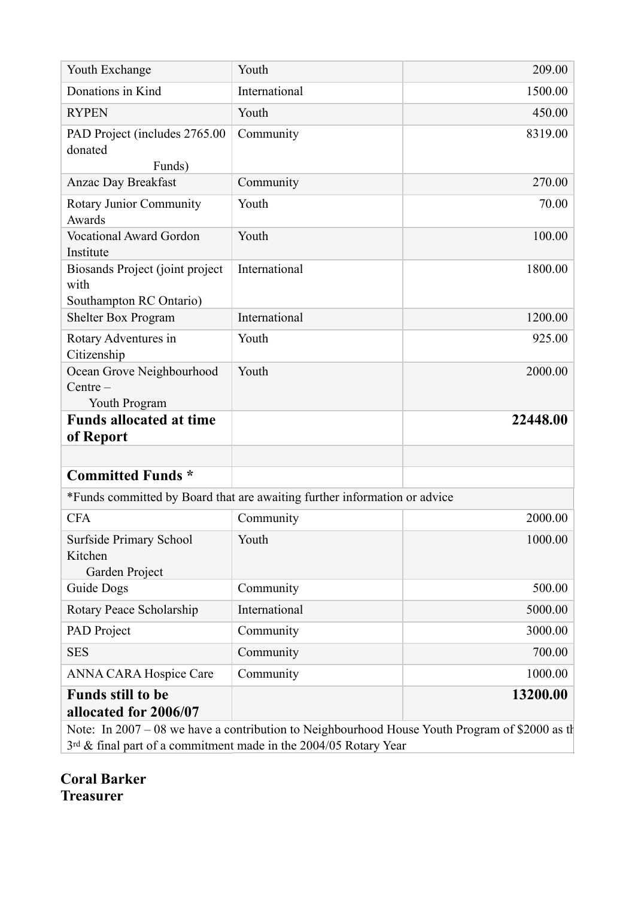| Youth Exchange                                                     | Youth                                                                     | 209.00                                                                                          |
|--------------------------------------------------------------------|---------------------------------------------------------------------------|-------------------------------------------------------------------------------------------------|
| Donations in Kind                                                  | International                                                             | 1500.00                                                                                         |
| <b>RYPEN</b>                                                       | Youth                                                                     | 450.00                                                                                          |
| PAD Project (includes 2765.00<br>donated<br>Funds)                 | Community                                                                 | 8319.00                                                                                         |
| <b>Anzac Day Breakfast</b>                                         | Community                                                                 | 270.00                                                                                          |
| Rotary Junior Community<br>Awards                                  | Youth                                                                     | 70.00                                                                                           |
| <b>Vocational Award Gordon</b><br>Institute                        | Youth                                                                     | 100.00                                                                                          |
| Biosands Project (joint project<br>with<br>Southampton RC Ontario) | International                                                             | 1800.00                                                                                         |
| Shelter Box Program                                                | International                                                             | 1200.00                                                                                         |
| Rotary Adventures in<br>Citizenship                                | Youth                                                                     | 925.00                                                                                          |
| Ocean Grove Neighbourhood<br>$Centre -$<br>Youth Program           | Youth                                                                     | 2000.00                                                                                         |
| <b>Funds allocated at time</b><br>of Report                        |                                                                           | 22448.00                                                                                        |
| <b>Committed Funds *</b>                                           |                                                                           |                                                                                                 |
|                                                                    | *Funds committed by Board that are awaiting further information or advice |                                                                                                 |
| <b>CFA</b>                                                         | Community                                                                 | 2000.00                                                                                         |
| <b>Surfside Primary School</b><br>Kitchen<br>Garden Project        | Youth                                                                     | 1000.00                                                                                         |
| Guide Dogs                                                         | Community                                                                 | 500.00                                                                                          |
| Rotary Peace Scholarship                                           | International                                                             | 5000.00                                                                                         |
| PAD Project                                                        | Community                                                                 | 3000.00                                                                                         |
| <b>SES</b>                                                         | Community                                                                 | 700.00                                                                                          |
| <b>ANNA CARA Hospice Care</b>                                      | Community                                                                 | 1000.00                                                                                         |
| <b>Funds still to be</b><br>allocated for 2006/07                  |                                                                           | 13200.00                                                                                        |
|                                                                    |                                                                           | Note: In 2007 - 08 we have a contribution to Neighbourhood House Youth Program of \$2000 as the |

3<sup>rd</sup> & final part of a commitment made in the 2004/05 Rotary Year

**Coral Barker Treasurer**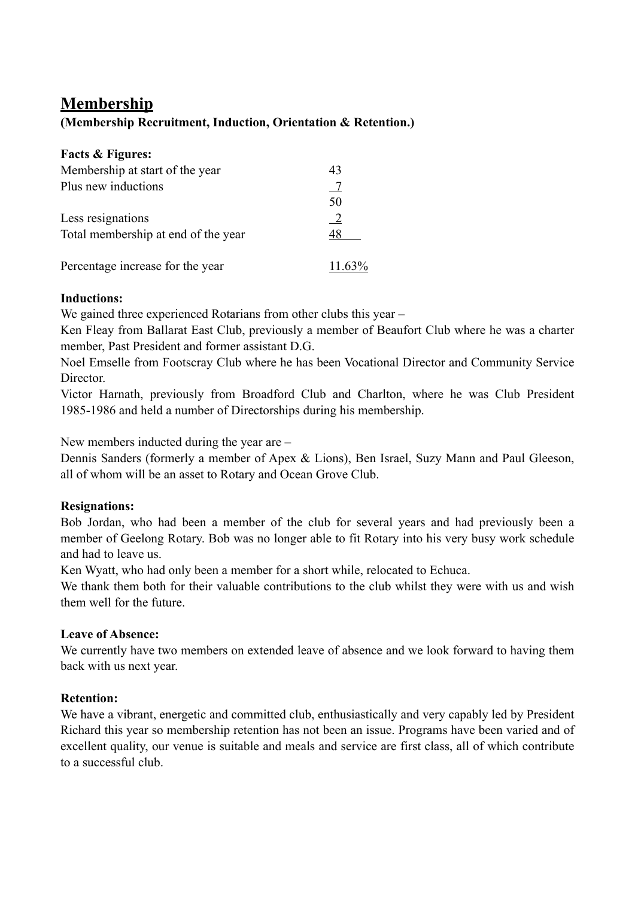# **Membership**

### **(Membership Recruitment, Induction, Orientation & Retention.)**

| <b>Facts &amp; Figures:</b>         |               |
|-------------------------------------|---------------|
| Membership at start of the year     | 43            |
| Plus new inductions                 |               |
|                                     | 50            |
| Less resignations                   | $\frac{2}{2}$ |
| Total membership at end of the year | 48            |
| Percentage increase for the year    | $11.63\%$     |

### **Inductions:**

We gained three experienced Rotarians from other clubs this year –

Ken Fleay from Ballarat East Club, previously a member of Beaufort Club where he was a charter member, Past President and former assistant D.G.

Noel Emselle from Footscray Club where he has been Vocational Director and Community Service **Director** 

Victor Harnath, previously from Broadford Club and Charlton, where he was Club President 1985-1986 and held a number of Directorships during his membership.

New members inducted during the year are –

Dennis Sanders (formerly a member of Apex & Lions), Ben Israel, Suzy Mann and Paul Gleeson, all of whom will be an asset to Rotary and Ocean Grove Club.

### **Resignations:**

Bob Jordan, who had been a member of the club for several years and had previously been a member of Geelong Rotary. Bob was no longer able to fit Rotary into his very busy work schedule and had to leave us.

Ken Wyatt, who had only been a member for a short while, relocated to Echuca.

We thank them both for their valuable contributions to the club whilst they were with us and wish them well for the future.

### **Leave of Absence:**

We currently have two members on extended leave of absence and we look forward to having them back with us next year.

### **Retention:**

We have a vibrant, energetic and committed club, enthusiastically and very capably led by President Richard this year so membership retention has not been an issue. Programs have been varied and of excellent quality, our venue is suitable and meals and service are first class, all of which contribute to a successful club.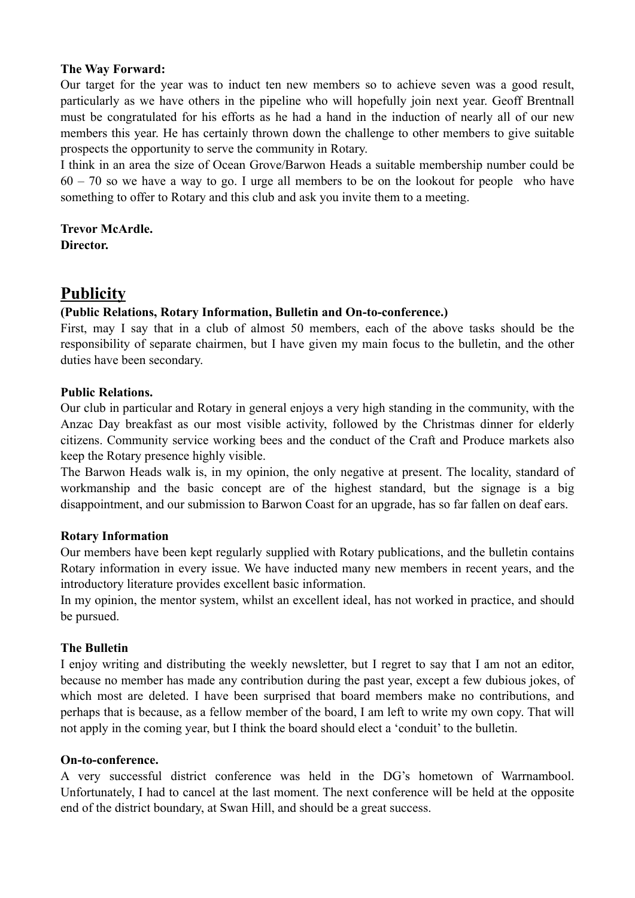#### **The Way Forward:**

Our target for the year was to induct ten new members so to achieve seven was a good result, particularly as we have others in the pipeline who will hopefully join next year. Geoff Brentnall must be congratulated for his efforts as he had a hand in the induction of nearly all of our new members this year. He has certainly thrown down the challenge to other members to give suitable prospects the opportunity to serve the community in Rotary.

I think in an area the size of Ocean Grove/Barwon Heads a suitable membership number could be 60 – 70 so we have a way to go. I urge all members to be on the lookout for people who have something to offer to Rotary and this club and ask you invite them to a meeting.

**Trevor McArdle. Director.** 

# **Publicity**

### **(Public Relations, Rotary Information, Bulletin and On-to-conference.)**

First, may I say that in a club of almost 50 members, each of the above tasks should be the responsibility of separate chairmen, but I have given my main focus to the bulletin, and the other duties have been secondary.

#### **Public Relations.**

Our club in particular and Rotary in general enjoys a very high standing in the community, with the Anzac Day breakfast as our most visible activity, followed by the Christmas dinner for elderly citizens. Community service working bees and the conduct of the Craft and Produce markets also keep the Rotary presence highly visible.

The Barwon Heads walk is, in my opinion, the only negative at present. The locality, standard of workmanship and the basic concept are of the highest standard, but the signage is a big disappointment, and our submission to Barwon Coast for an upgrade, has so far fallen on deaf ears.

#### **Rotary Information**

Our members have been kept regularly supplied with Rotary publications, and the bulletin contains Rotary information in every issue. We have inducted many new members in recent years, and the introductory literature provides excellent basic information.

In my opinion, the mentor system, whilst an excellent ideal, has not worked in practice, and should be pursued.

### **The Bulletin**

I enjoy writing and distributing the weekly newsletter, but I regret to say that I am not an editor, because no member has made any contribution during the past year, except a few dubious jokes, of which most are deleted. I have been surprised that board members make no contributions, and perhaps that is because, as a fellow member of the board, I am left to write my own copy. That will not apply in the coming year, but I think the board should elect a 'conduit' to the bulletin.

#### **On-to-conference.**

A very successful district conference was held in the DG's hometown of Warrnambool. Unfortunately, I had to cancel at the last moment. The next conference will be held at the opposite end of the district boundary, at Swan Hill, and should be a great success.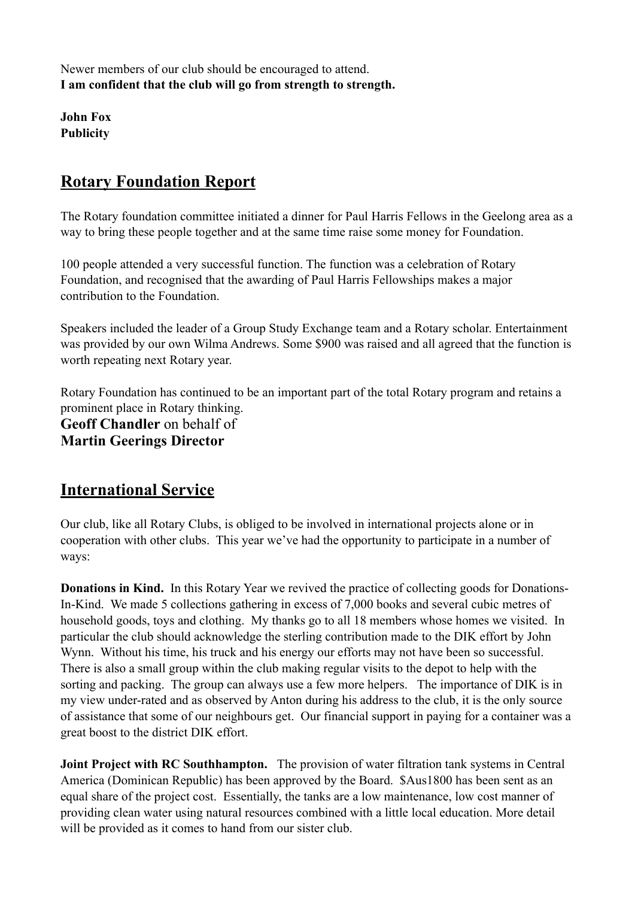Newer members of our club should be encouraged to attend. **I am confident that the club will go from strength to strength.**

**John Fox Publicity**

# **Rotary Foundation Report**

The Rotary foundation committee initiated a dinner for Paul Harris Fellows in the Geelong area as a way to bring these people together and at the same time raise some money for Foundation.

100 people attended a very successful function. The function was a celebration of Rotary Foundation, and recognised that the awarding of Paul Harris Fellowships makes a major contribution to the Foundation.

Speakers included the leader of a Group Study Exchange team and a Rotary scholar. Entertainment was provided by our own Wilma Andrews. Some \$900 was raised and all agreed that the function is worth repeating next Rotary year.

Rotary Foundation has continued to be an important part of the total Rotary program and retains a prominent place in Rotary thinking. **Geoff Chandler** on behalf of **Martin Geerings Director**

# **International Service**

Our club, like all Rotary Clubs, is obliged to be involved in international projects alone or in cooperation with other clubs. This year we've had the opportunity to participate in a number of ways:

**Donations in Kind.** In this Rotary Year we revived the practice of collecting goods for Donations-In-Kind. We made 5 collections gathering in excess of 7,000 books and several cubic metres of household goods, toys and clothing. My thanks go to all 18 members whose homes we visited. In particular the club should acknowledge the sterling contribution made to the DIK effort by John Wynn. Without his time, his truck and his energy our efforts may not have been so successful. There is also a small group within the club making regular visits to the depot to help with the sorting and packing. The group can always use a few more helpers. The importance of DIK is in my view under-rated and as observed by Anton during his address to the club, it is the only source of assistance that some of our neighbours get. Our financial support in paying for a container was a great boost to the district DIK effort.

**Joint Project with RC Southhampton.** The provision of water filtration tank systems in Central America (Dominican Republic) has been approved by the Board. \$Aus1800 has been sent as an equal share of the project cost. Essentially, the tanks are a low maintenance, low cost manner of providing clean water using natural resources combined with a little local education. More detail will be provided as it comes to hand from our sister club.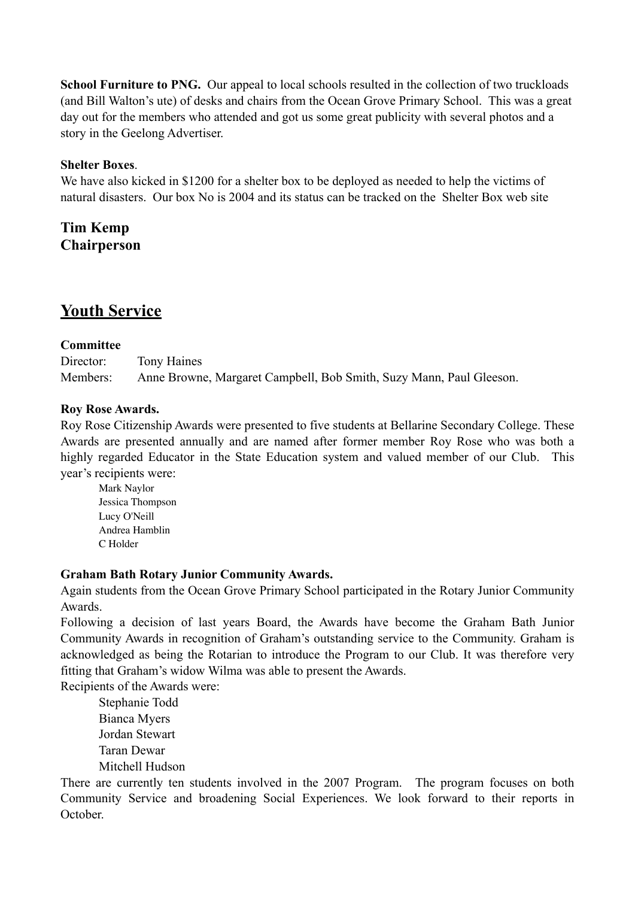**School Furniture to PNG.** Our appeal to local schools resulted in the collection of two truckloads (and Bill Walton's ute) of desks and chairs from the Ocean Grove Primary School. This was a great day out for the members who attended and got us some great publicity with several photos and a story in the Geelong Advertiser.

### **Shelter Boxes**.

We have also kicked in \$1200 for a shelter box to be deployed as needed to help the victims of natural disasters. Our box No is 2004 and its status can be tracked on the Shelter Box web site

**Tim Kemp Chairperson**

# **Youth Service**

#### **Committee**

Director: Tony Haines Members: Anne Browne, Margaret Campbell, Bob Smith, Suzy Mann, Paul Gleeson.

#### **Roy Rose Awards.**

Roy Rose Citizenship Awards were presented to five students at Bellarine Secondary College. These Awards are presented annually and are named after former member Roy Rose who was both a highly regarded Educator in the State Education system and valued member of our Club. This year's recipients were:

Mark Naylor Jessica Thompson Lucy O'Neill Andrea Hamblin C Holder

#### **Graham Bath Rotary Junior Community Awards.**

Again students from the Ocean Grove Primary School participated in the Rotary Junior Community Awards.

Following a decision of last years Board, the Awards have become the Graham Bath Junior Community Awards in recognition of Graham's outstanding service to the Community. Graham is acknowledged as being the Rotarian to introduce the Program to our Club. It was therefore very fitting that Graham's widow Wilma was able to present the Awards.

Recipients of the Awards were:

Stephanie Todd Bianca Myers Jordan Stewart Taran Dewar Mitchell Hudson

There are currently ten students involved in the 2007 Program. The program focuses on both Community Service and broadening Social Experiences. We look forward to their reports in October.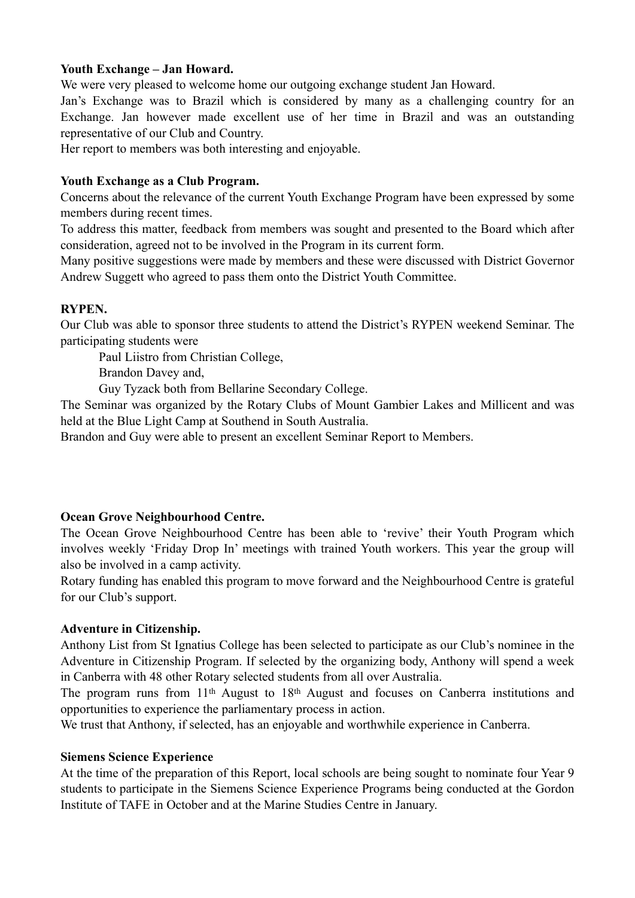### **Youth Exchange – Jan Howard.**

We were very pleased to welcome home our outgoing exchange student Jan Howard.

Jan's Exchange was to Brazil which is considered by many as a challenging country for an Exchange. Jan however made excellent use of her time in Brazil and was an outstanding representative of our Club and Country.

Her report to members was both interesting and enjoyable.

#### **Youth Exchange as a Club Program.**

Concerns about the relevance of the current Youth Exchange Program have been expressed by some members during recent times.

To address this matter, feedback from members was sought and presented to the Board which after consideration, agreed not to be involved in the Program in its current form.

Many positive suggestions were made by members and these were discussed with District Governor Andrew Suggett who agreed to pass them onto the District Youth Committee.

#### **RYPEN.**

Our Club was able to sponsor three students to attend the District's RYPEN weekend Seminar. The participating students were

Paul Liistro from Christian College,

Brandon Davey and,

Guy Tyzack both from Bellarine Secondary College.

The Seminar was organized by the Rotary Clubs of Mount Gambier Lakes and Millicent and was held at the Blue Light Camp at Southend in South Australia.

Brandon and Guy were able to present an excellent Seminar Report to Members.

### **Ocean Grove Neighbourhood Centre.**

The Ocean Grove Neighbourhood Centre has been able to 'revive' their Youth Program which involves weekly 'Friday Drop In' meetings with trained Youth workers. This year the group will also be involved in a camp activity.

Rotary funding has enabled this program to move forward and the Neighbourhood Centre is grateful for our Club's support.

#### **Adventure in Citizenship.**

Anthony List from St Ignatius College has been selected to participate as our Club's nominee in the Adventure in Citizenship Program. If selected by the organizing body, Anthony will spend a week in Canberra with 48 other Rotary selected students from all over Australia.

The program runs from 11th August to 18th August and focuses on Canberra institutions and opportunities to experience the parliamentary process in action.

We trust that Anthony, if selected, has an enjoyable and worthwhile experience in Canberra.

#### **Siemens Science Experience**

At the time of the preparation of this Report, local schools are being sought to nominate four Year 9 students to participate in the Siemens Science Experience Programs being conducted at the Gordon Institute of TAFE in October and at the Marine Studies Centre in January.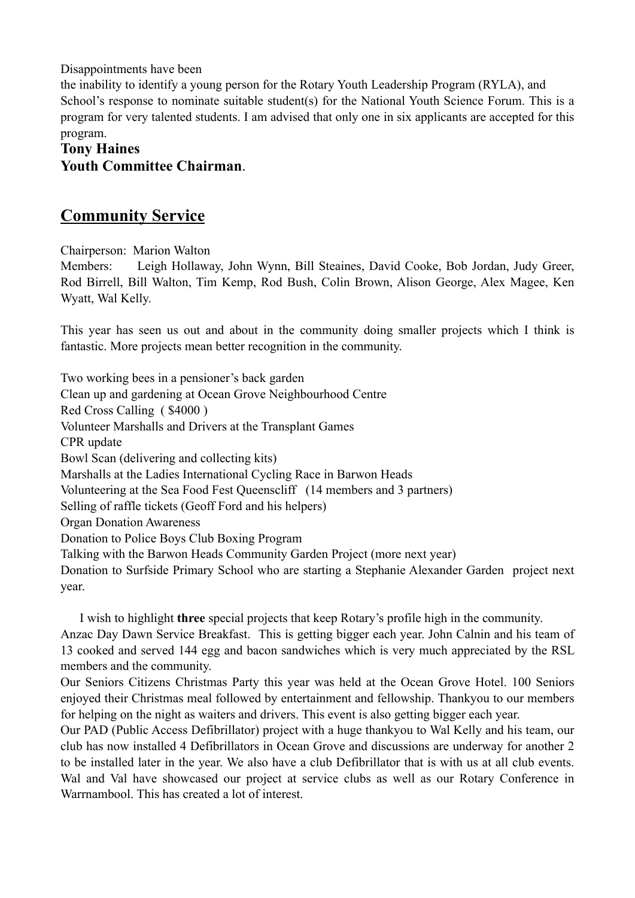Disappointments have been

the inability to identify a young person for the Rotary Youth Leadership Program (RYLA), and School's response to nominate suitable student(s) for the National Youth Science Forum. This is a program for very talented students. I am advised that only one in six applicants are accepted for this program.

### **Tony Haines Youth Committee Chairman**.

# **Community Service**

Chairperson: Marion Walton

Members: Leigh Hollaway, John Wynn, Bill Steaines, David Cooke, Bob Jordan, Judy Greer, Rod Birrell, Bill Walton, Tim Kemp, Rod Bush, Colin Brown, Alison George, Alex Magee, Ken Wyatt, Wal Kelly.

This year has seen us out and about in the community doing smaller projects which I think is fantastic. More projects mean better recognition in the community.

Two working bees in a pensioner's back garden Clean up and gardening at Ocean Grove Neighbourhood Centre Red Cross Calling ( \$4000 ) Volunteer Marshalls and Drivers at the Transplant Games CPR update Bowl Scan (delivering and collecting kits) Marshalls at the Ladies International Cycling Race in Barwon Heads Volunteering at the Sea Food Fest Queenscliff (14 members and 3 partners) Selling of raffle tickets (Geoff Ford and his helpers) Organ Donation Awareness Donation to Police Boys Club Boxing Program Talking with the Barwon Heads Community Garden Project (more next year) Donation to Surfside Primary School who are starting a Stephanie Alexander Garden project next year.

I wish to highlight **three** special projects that keep Rotary's profile high in the community. Anzac Day Dawn Service Breakfast. This is getting bigger each year. John Calnin and his team of 13 cooked and served 144 egg and bacon sandwiches which is very much appreciated by the RSL members and the community.

Our Seniors Citizens Christmas Party this year was held at the Ocean Grove Hotel. 100 Seniors enjoyed their Christmas meal followed by entertainment and fellowship. Thankyou to our members for helping on the night as waiters and drivers. This event is also getting bigger each year.

Our PAD (Public Access Defibrillator) project with a huge thankyou to Wal Kelly and his team, our club has now installed 4 Defibrillators in Ocean Grove and discussions are underway for another 2 to be installed later in the year. We also have a club Defibrillator that is with us at all club events. Wal and Val have showcased our project at service clubs as well as our Rotary Conference in Warrnambool. This has created a lot of interest.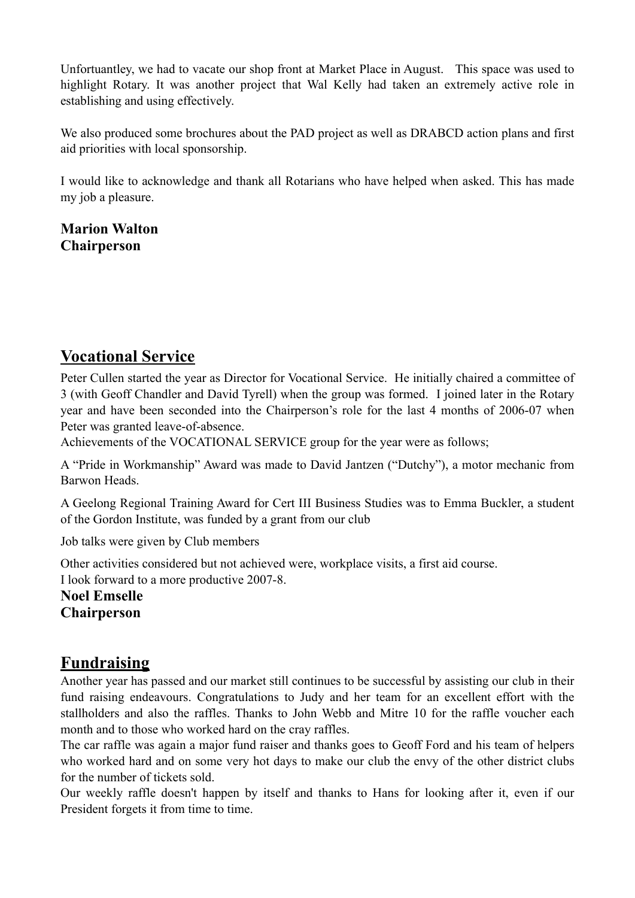Unfortuantley, we had to vacate our shop front at Market Place in August. This space was used to highlight Rotary. It was another project that Wal Kelly had taken an extremely active role in establishing and using effectively.

We also produced some brochures about the PAD project as well as DRABCD action plans and first aid priorities with local sponsorship.

I would like to acknowledge and thank all Rotarians who have helped when asked. This has made my job a pleasure.

**Marion Walton Chairperson**

# **Vocational Service**

Peter Cullen started the year as Director for Vocational Service. He initially chaired a committee of 3 (with Geoff Chandler and David Tyrell) when the group was formed. I joined later in the Rotary year and have been seconded into the Chairperson's role for the last 4 months of 2006-07 when Peter was granted leave-of-absence.

Achievements of the VOCATIONAL SERVICE group for the year were as follows;

A "Pride in Workmanship" Award was made to David Jantzen ("Dutchy"), a motor mechanic from Barwon Heads.

A Geelong Regional Training Award for Cert III Business Studies was to Emma Buckler, a student of the Gordon Institute, was funded by a grant from our club

Job talks were given by Club members

Other activities considered but not achieved were, workplace visits, a first aid course.

I look forward to a more productive 2007-8.

**Noel Emselle Chairperson**

# **Fundraising**

Another year has passed and our market still continues to be successful by assisting our club in their fund raising endeavours. Congratulations to Judy and her team for an excellent effort with the stallholders and also the raffles. Thanks to John Webb and Mitre 10 for the raffle voucher each month and to those who worked hard on the cray raffles.

The car raffle was again a major fund raiser and thanks goes to Geoff Ford and his team of helpers who worked hard and on some very hot days to make our club the envy of the other district clubs for the number of tickets sold.

Our weekly raffle doesn't happen by itself and thanks to Hans for looking after it, even if our President forgets it from time to time.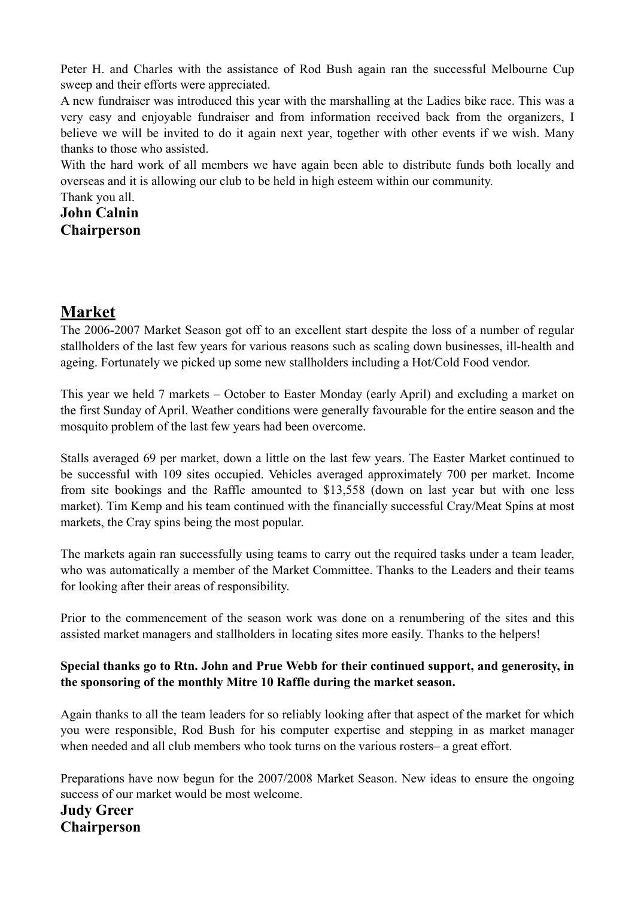Peter H. and Charles with the assistance of Rod Bush again ran the successful Melbourne Cup sweep and their efforts were appreciated.

A new fundraiser was introduced this year with the marshalling at the Ladies bike race. This was a very easy and enjoyable fundraiser and from information received back from the organizers, I believe we will be invited to do it again next year, together with other events if we wish. Many thanks to those who assisted.

With the hard work of all members we have again been able to distribute funds both locally and overseas and it is allowing our club to be held in high esteem within our community.

Thank you all. **John Calnin Chairperson**

# **Market**

The 2006-2007 Market Season got off to an excellent start despite the loss of a number of regular stallholders of the last few years for various reasons such as scaling down businesses, ill-health and ageing. Fortunately we picked up some new stallholders including a Hot/Cold Food vendor.

This year we held 7 markets – October to Easter Monday (early April) and excluding a market on the first Sunday of April. Weather conditions were generally favourable for the entire season and the mosquito problem of the last few years had been overcome.

Stalls averaged 69 per market, down a little on the last few years. The Easter Market continued to be successful with 109 sites occupied. Vehicles averaged approximately 700 per market. Income from site bookings and the Raffle amounted to \$13,558 (down on last year but with one less market). Tim Kemp and his team continued with the financially successful Cray/Meat Spins at most markets, the Cray spins being the most popular.

The markets again ran successfully using teams to carry out the required tasks under a team leader, who was automatically a member of the Market Committee. Thanks to the Leaders and their teams for looking after their areas of responsibility.

Prior to the commencement of the season work was done on a renumbering of the sites and this assisted market managers and stallholders in locating sites more easily. Thanks to the helpers!

### **Special thanks go to Rtn. John and Prue Webb for their continued support, and generosity, in the sponsoring of the monthly Mitre 10 Raffle during the market season.**

Again thanks to all the team leaders for so reliably looking after that aspect of the market for which you were responsible, Rod Bush for his computer expertise and stepping in as market manager when needed and all club members who took turns on the various rosters– a great effort.

Preparations have now begun for the 2007/2008 Market Season. New ideas to ensure the ongoing success of our market would be most welcome.

### **Judy Greer Chairperson**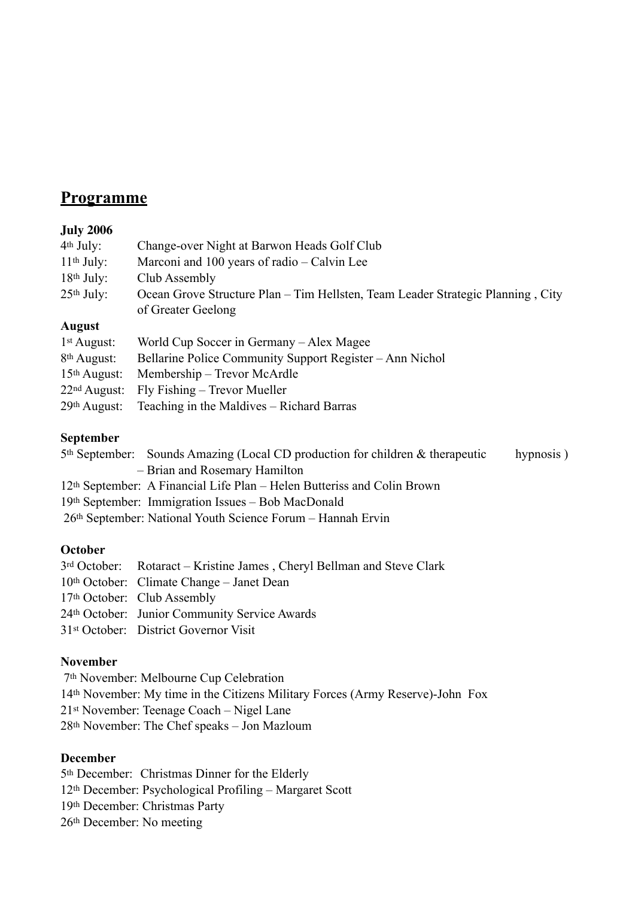## **Programme**

### **July 2006**

| $4th$ July:              | Change-over Night at Barwon Heads Golf Club                                     |
|--------------------------|---------------------------------------------------------------------------------|
| $11th$ July:             | Marconi and 100 years of radio – Calvin Lee                                     |
| $18th$ July:             | Club Assembly                                                                   |
| $25th$ July:             | Ocean Grove Structure Plan – Tim Hellsten, Team Leader Strategic Planning, City |
|                          | of Greater Geelong                                                              |
| <b>August</b>            |                                                                                 |
| $1st$ August:            | World Cup Soccer in Germany – Alex Magee                                        |
| 8 <sup>th</sup> August:  | Bellarine Police Community Support Register – Ann Nichol                        |
| $15th$ August:           | Membership – Trevor McArdle                                                     |
| 22 <sup>nd</sup> August: | Fly Fishing – Trevor Mueller                                                    |
| 29th August:             | Teaching in the Maldives – Richard Barras                                       |
|                          |                                                                                 |

### **September**

| $5th$ September: Sounds Amazing (Local CD production for children & therapeutic | hypnosis) |
|---------------------------------------------------------------------------------|-----------|
| - Brian and Rosemary Hamilton                                                   |           |
| 12th September: A Financial Life Plan – Helen Butteriss and Colin Brown         |           |
| 19th September: Immigration Issues – Bob MacDonald                              |           |
| 26th September: National Youth Science Forum – Hannah Ervin                     |           |

### **October**

| 3rd October: Rotaract – Kristine James, Cheryl Bellman and Steve Clark |
|------------------------------------------------------------------------|
| 10th October: Climate Change – Janet Dean                              |
| 17th October: Club Assembly                                            |
| 24th October: Junior Community Service Awards                          |
| 31 <sup>st</sup> October: District Governor Visit                      |

### **November**

 7th November: Melbourne Cup Celebration 14th November: My time in the Citizens Military Forces (Army Reserve)-John Fox 21st November: Teenage Coach – Nigel Lane 28th November: The Chef speaks – Jon Mazloum

### **December**

5th December: Christmas Dinner for the Elderly 12th December: Psychological Profiling – Margaret Scott 19th December: Christmas Party 26th December: No meeting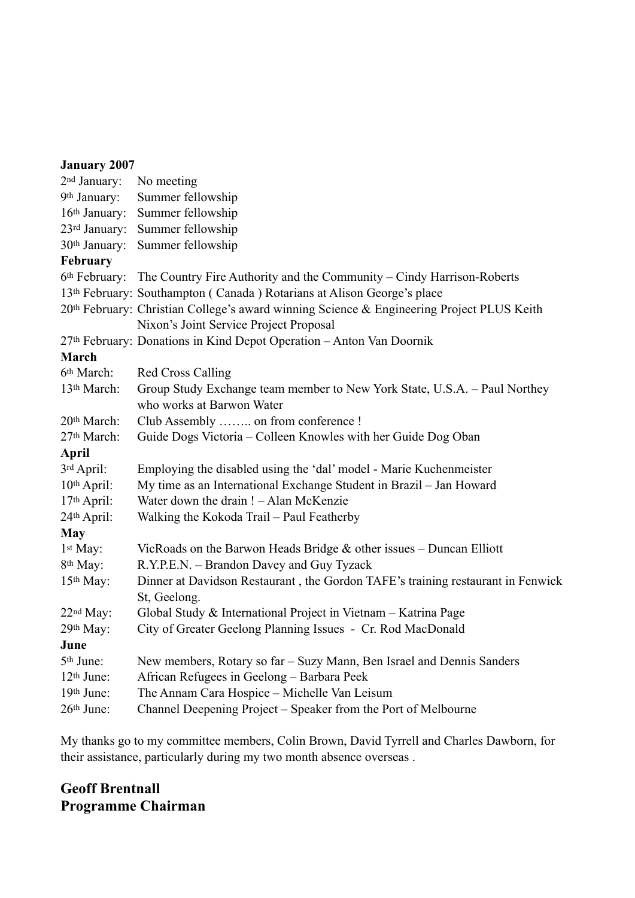| <b>January 2007</b>      |                                                                                           |
|--------------------------|-------------------------------------------------------------------------------------------|
| 2 <sup>nd</sup> January: | No meeting                                                                                |
| 9th January:             | Summer fellowship                                                                         |
| 16th January:            | Summer fellowship                                                                         |
| 23rd January:            | Summer fellowship                                                                         |
| 30th January:            | Summer fellowship                                                                         |
| February                 |                                                                                           |
|                          | 6th February: The Country Fire Authority and the Community – Cindy Harrison-Roberts       |
|                          | 13th February: Southampton (Canada) Rotarians at Alison George's place                    |
|                          | 20th February: Christian College's award winning Science & Engineering Project PLUS Keith |
|                          | Nixon's Joint Service Project Proposal                                                    |
|                          | 27th February: Donations in Kind Depot Operation - Anton Van Doornik                      |
| March                    |                                                                                           |
| 6th March:               | <b>Red Cross Calling</b>                                                                  |
| 13th March:              | Group Study Exchange team member to New York State, U.S.A. - Paul Northey                 |
|                          | who works at Barwon Water                                                                 |
| 20th March:              | Club Assembly  on from conference !                                                       |
| 27th March:              | Guide Dogs Victoria – Colleen Knowles with her Guide Dog Oban                             |
| <b>April</b>             |                                                                                           |
| 3rd April:               | Employing the disabled using the 'dal' model - Marie Kuchenmeister                        |
| 10th April:              | My time as an International Exchange Student in Brazil - Jan Howard                       |
| 17th April:              | Water down the drain ! - Alan McKenzie                                                    |
| 24th April:              | Walking the Kokoda Trail - Paul Featherby                                                 |
| <b>May</b>               |                                                                                           |
| 1 <sup>st</sup> May:     | VicRoads on the Barwon Heads Bridge $\&$ other issues – Duncan Elliott                    |
| 8 <sup>th</sup> May:     | R.Y.P.E.N. - Brandon Davey and Guy Tyzack                                                 |
| 15 <sup>th</sup> May:    | Dinner at Davidson Restaurant, the Gordon TAFE's training restaurant in Fenwick           |
|                          | St, Geelong.                                                                              |
| 22 <sup>nd</sup> May:    | Global Study & International Project in Vietnam - Katrina Page                            |
| 29th May:                | City of Greater Geelong Planning Issues - Cr. Rod MacDonald                               |
| June                     |                                                                                           |
| 5 <sup>th</sup> June:    | New members, Rotary so far - Suzy Mann, Ben Israel and Dennis Sanders                     |
| 12 <sup>th</sup> June:   | African Refugees in Geelong - Barbara Peek                                                |
| 19th June:               | The Annam Cara Hospice - Michelle Van Leisum                                              |
| 26th June:               | Channel Deepening Project – Speaker from the Port of Melbourne                            |

My thanks go to my committee members, Colin Brown, David Tyrrell and Charles Dawborn, for their assistance, particularly during my two month absence overseas .

### **Geoff Brentnall Programme Chairman**